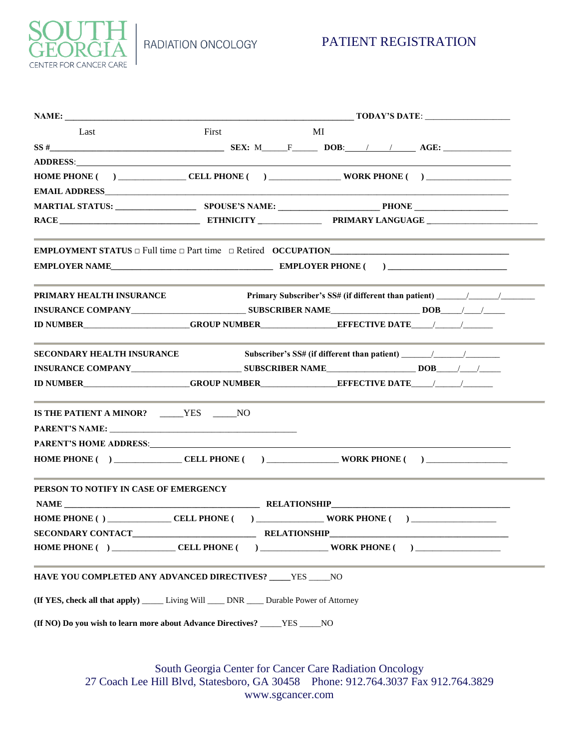RADIATION ONCOLOGY



| a m                           |
|-------------------------------|
| <b>CENTER FOR CANCER CARE</b> |

| Last                                                                                                                                                                                                                           | First | MI |  |                                                                                   |  |  |  |  |
|--------------------------------------------------------------------------------------------------------------------------------------------------------------------------------------------------------------------------------|-------|----|--|-----------------------------------------------------------------------------------|--|--|--|--|
|                                                                                                                                                                                                                                |       |    |  |                                                                                   |  |  |  |  |
| ADDRESS: ANDRESS:                                                                                                                                                                                                              |       |    |  |                                                                                   |  |  |  |  |
|                                                                                                                                                                                                                                |       |    |  |                                                                                   |  |  |  |  |
| <b>EMAIL ADDRESS</b>                                                                                                                                                                                                           |       |    |  |                                                                                   |  |  |  |  |
|                                                                                                                                                                                                                                |       |    |  |                                                                                   |  |  |  |  |
|                                                                                                                                                                                                                                |       |    |  |                                                                                   |  |  |  |  |
| <b>EMPLOYMENT STATUS</b> $\Box$ Full time $\Box$ Part time $\Box$ Retired OCCUPATION                                                                                                                                           |       |    |  |                                                                                   |  |  |  |  |
| EMPLOYER NAME EMPLOYER PHONE (2001)                                                                                                                                                                                            |       |    |  |                                                                                   |  |  |  |  |
| PRIMARY HEALTH INSURANCE                                                                                                                                                                                                       |       |    |  | Primary Subscriber's SS# (if different than patient) ____________________________ |  |  |  |  |
| INSURANCE COMPANY SUBSCRIBER NAME DOB / / /                                                                                                                                                                                    |       |    |  |                                                                                   |  |  |  |  |
| ID NUMBER GROUP NUMBER EFFECTIVE DATE A LIMIT OF A LIMIT OF A LIMIT OF A LIMIT OF A LIMIT OF A LIMIT OF A LIMI                                                                                                                 |       |    |  |                                                                                   |  |  |  |  |
| SECONDARY HEALTH INSURANCE                                                                                                                                                                                                     |       |    |  |                                                                                   |  |  |  |  |
|                                                                                                                                                                                                                                |       |    |  |                                                                                   |  |  |  |  |
| <b>ID NUMBER GROUP NUMBER EFFECTIVE DATE</b>                                                                                                                                                                                   |       |    |  |                                                                                   |  |  |  |  |
| IS THE PATIENT A MINOR? _____YES _____NO                                                                                                                                                                                       |       |    |  |                                                                                   |  |  |  |  |
|                                                                                                                                                                                                                                |       |    |  |                                                                                   |  |  |  |  |
| PARENT'S HOME ADDRESS: North and the set of the set of the set of the set of the set of the set of the set of the set of the set of the set of the set of the set of the set of the set of the set of the set of the set of th |       |    |  |                                                                                   |  |  |  |  |
| <b>HOME PHONE ( ) _______________CELL PHONE ( ) ________________WORK PHONE ( ) _______________________</b>                                                                                                                     |       |    |  |                                                                                   |  |  |  |  |
| PERSON TO NOTIFY IN CASE OF EMERGENCY                                                                                                                                                                                          |       |    |  |                                                                                   |  |  |  |  |
|                                                                                                                                                                                                                                |       |    |  |                                                                                   |  |  |  |  |
| <b>HOME PHONE ( ) ______________CELL PHONE ( ) _____________________WORK PHONE ( ) ___________________</b>                                                                                                                     |       |    |  |                                                                                   |  |  |  |  |
|                                                                                                                                                                                                                                |       |    |  |                                                                                   |  |  |  |  |
|                                                                                                                                                                                                                                |       |    |  |                                                                                   |  |  |  |  |
| HAVE YOU COMPLETED ANY ADVANCED DIRECTIVES? ____ YES ____ NO                                                                                                                                                                   |       |    |  |                                                                                   |  |  |  |  |
| <b>(If YES, check all that apply)</b> ______ Living Will _____ DNR _____ Durable Power of Attorney                                                                                                                             |       |    |  |                                                                                   |  |  |  |  |
| (If NO) Do you wish to learn more about Advance Directives? ________ YES ______ NO                                                                                                                                             |       |    |  |                                                                                   |  |  |  |  |
|                                                                                                                                                                                                                                |       |    |  |                                                                                   |  |  |  |  |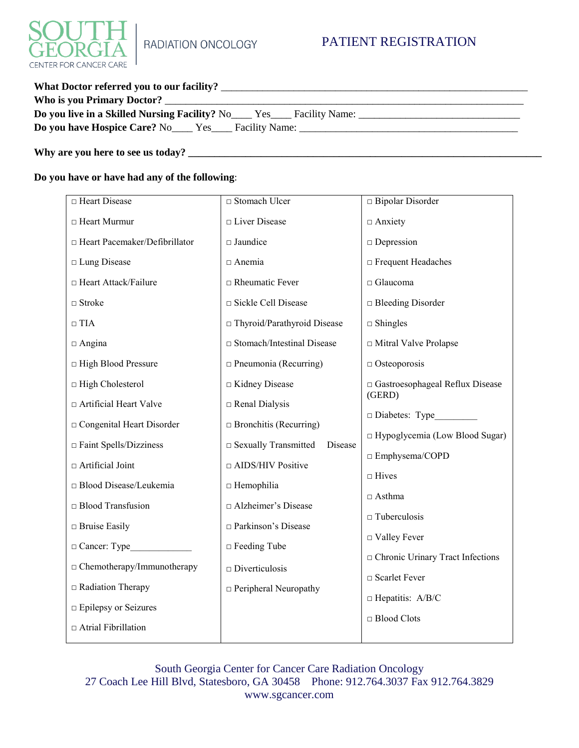

| What Doctor referred you to our facility? |  |  |  |  |  |  |
|-------------------------------------------|--|--|--|--|--|--|
|                                           |  |  |  |  |  |  |
|                                           |  |  |  |  |  |  |
|                                           |  |  |  |  |  |  |

**Why are you here to see us today? \_\_\_\_\_\_\_\_\_\_\_\_\_\_\_\_\_\_\_\_\_\_\_\_\_\_\_\_\_\_\_\_\_\_\_\_\_\_\_\_\_\_\_\_\_\_\_\_\_\_\_\_\_\_\_\_\_\_\_\_\_\_\_\_\_\_\_\_**

**Do you have or have had any of the following**:

| □ Heart Disease                 | □ Stomach Ulcer                   | □ Bipolar Disorder                          |
|---------------------------------|-----------------------------------|---------------------------------------------|
| □ Heart Murmur                  | □ Liver Disease                   | $\Box$ Anxiety                              |
| □ Heart Pacemaker/Defibrillator | $\square$ Jaundice                | $\Box$ Depression                           |
| □ Lung Disease                  | □ Anemia                          | □ Frequent Headaches                        |
| □ Heart Attack/Failure          | $\Box$ Rheumatic Fever            | □ Glaucoma                                  |
| $\Box$ Stroke                   | □ Sickle Cell Disease             | $\Box$ Bleeding Disorder                    |
| $\Box$ TIA                      | □ Thyroid/Parathyroid Disease     | $\Box$ Shingles                             |
| $\Box$ Angina                   | □ Stomach/Intestinal Disease      | □ Mitral Valve Prolapse                     |
| □ High Blood Pressure           | $\Box$ Pneumonia (Recurring)      | $\Box$ Osteoporosis                         |
| □ High Cholesterol              | □ Kidney Disease                  | □ Gastroesophageal Reflux Disease<br>(GERD) |
| □ Artificial Heart Valve        | $\Box$ Renal Dialysis             |                                             |
| □ Congenital Heart Disorder     | $\Box$ Bronchitis (Recurring)     | Diabetes: Type                              |
| Faint Spells/Dizziness          | □ Sexually Transmitted<br>Disease | $\Box$ Hypoglycemia (Low Blood Sugar)       |
| $\Box$ Artificial Joint         | □ AIDS/HIV Positive               | □ Emphysema/COPD                            |
| □ Blood Disease/Leukemia        | $\Box$ Hemophilia                 | $\Box$ Hives                                |
| $\Box$ Blood Transfusion        | □ Alzheimer's Disease             | $\Box$ Asthma                               |
| $\Box$ Bruise Easily            | □ Parkinson's Disease             | $\Box$ Tuberculosis                         |
| □ Cancer: Type                  | $\Box$ Feeding Tube               | □ Valley Fever                              |
| □ Chemotherapy/Immunotherapy    | $\Box$ Diverticulosis             | Chronic Urinary Tract Infections            |
| Radiation Therapy               | $\Box$ Peripheral Neuropathy      | □ Scarlet Fever                             |
| <b>Epilepsy or Seizures</b>     |                                   | $\Box$ Hepatitis: A/B/C                     |
| $\Box$ Atrial Fibrillation      |                                   | $\Box$<br>Blood Clots                       |
|                                 |                                   |                                             |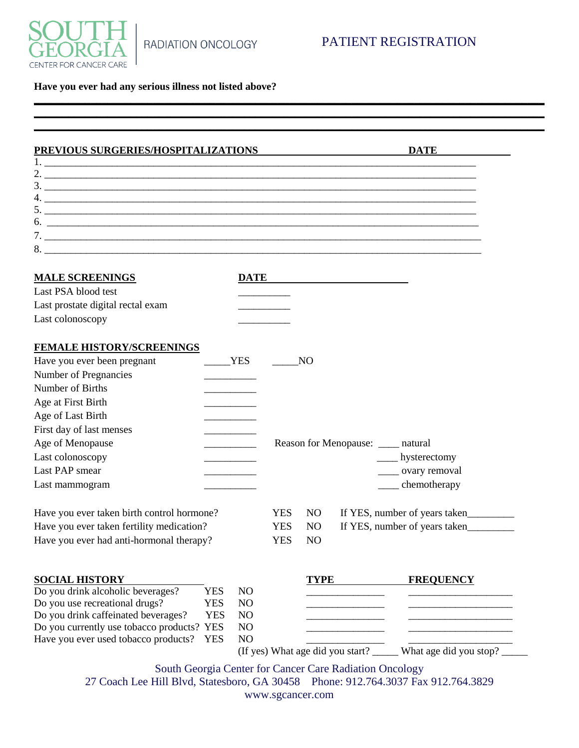

## **Have you ever had any serious illness not listed above?**

| PREVIOUS SURGERIES/HOSPITALIZATIONS                                                               |                                  |            |                | <b>DATE</b>                                             |
|---------------------------------------------------------------------------------------------------|----------------------------------|------------|----------------|---------------------------------------------------------|
| $\overline{1.}$ $\overline{\phantom{1}}$                                                          |                                  |            |                |                                                         |
|                                                                                                   |                                  |            |                |                                                         |
| $\frac{3}{2}$                                                                                     |                                  |            |                |                                                         |
|                                                                                                   |                                  |            |                |                                                         |
|                                                                                                   |                                  |            |                |                                                         |
|                                                                                                   |                                  |            |                |                                                         |
|                                                                                                   |                                  |            |                |                                                         |
| <b>MALE SCREENINGS</b>                                                                            |                                  |            |                |                                                         |
| Last PSA blood test                                                                               |                                  |            |                |                                                         |
| Last prostate digital rectal exam                                                                 |                                  |            |                |                                                         |
| Last colonoscopy                                                                                  |                                  |            |                |                                                         |
| <b>FEMALE HISTORY/SCREENINGS</b>                                                                  |                                  |            |                |                                                         |
| Have you ever been pregnant                                                                       | <b>YES</b>                       |            | N <sub>O</sub> |                                                         |
| Number of Pregnancies                                                                             |                                  |            |                |                                                         |
| Number of Births                                                                                  |                                  |            |                |                                                         |
| Age at First Birth                                                                                |                                  |            |                |                                                         |
| Age of Last Birth                                                                                 |                                  |            |                |                                                         |
| First day of last menses                                                                          |                                  |            |                |                                                         |
| Age of Menopause                                                                                  |                                  |            |                | Reason for Menopause: _____ natural                     |
| Last colonoscopy                                                                                  |                                  |            |                | $\frac{1}{2}$ hysterectomy                              |
| Last PAP smear                                                                                    |                                  |            |                | ____ ovary removal                                      |
| Last mammogram                                                                                    |                                  |            |                | $\_\_$ chemotherapy                                     |
| Have you ever taken birth control hormone?                                                        |                                  | <b>YES</b> | NO.            | If YES, number of years taken                           |
| Have you ever taken fertility medication?                                                         |                                  | <b>YES</b> | N <sub>O</sub> | If YES, number of years taken                           |
| Have you ever had anti-hormonal therapy?                                                          |                                  | <b>YES</b> | N <sub>O</sub> |                                                         |
|                                                                                                   |                                  |            |                |                                                         |
| <b>SOCIAL HISTORY</b>                                                                             |                                  |            | <b>TYPE</b>    | <b>FREQUENCY</b>                                        |
| Do you drink alcoholic beverages?<br><b>YES</b>                                                   | N <sub>O</sub>                   |            |                |                                                         |
| Do you use recreational drugs?<br><b>YES</b><br>Do you drink caffeinated beverages?<br><b>YES</b> | N <sub>O</sub><br>N <sub>O</sub> |            |                |                                                         |
| Do you currently use tobacco products? YES                                                        | N <sub>O</sub>                   |            |                |                                                         |
|                                                                                                   | N <sub>O</sub>                   |            |                |                                                         |
| Have you ever used tobacco products?<br><b>YES</b>                                                |                                  |            |                |                                                         |
|                                                                                                   |                                  |            |                | (If yes) What age did you start? What age did you stop? |

**\_\_\_\_\_\_\_\_\_\_\_\_\_\_\_\_\_\_\_\_\_\_\_\_\_\_\_\_\_\_\_\_\_\_\_\_\_\_\_\_\_\_\_\_\_\_\_\_\_\_\_\_\_\_\_\_\_\_\_\_\_\_\_\_\_\_\_\_\_\_\_\_\_\_\_\_\_\_\_\_\_\_\_\_\_\_\_\_\_\_**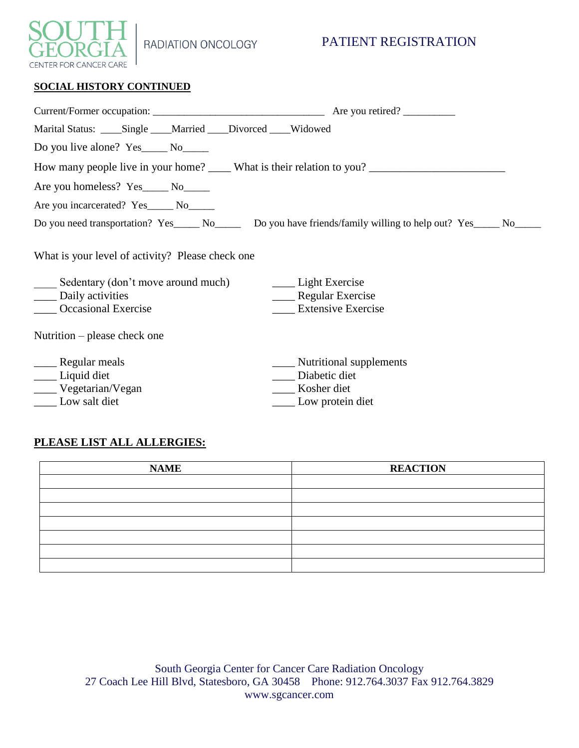

RADIATION ONCOLOGY

## PATIENT REGISTRATION

|  | <b>SOCIAL HISTORY CONTINUED</b> |
|--|---------------------------------|
|  |                                 |

| Marital Status: ____Single ___Married ___Divorced ___Widowed                                                                                                                                                                                       |                                                                                                              |  |  |  |  |
|----------------------------------------------------------------------------------------------------------------------------------------------------------------------------------------------------------------------------------------------------|--------------------------------------------------------------------------------------------------------------|--|--|--|--|
| Do you live alone? Yes_______ No_______                                                                                                                                                                                                            |                                                                                                              |  |  |  |  |
|                                                                                                                                                                                                                                                    | How many people live in your home? _____ What is their relation to you? ____________________________         |  |  |  |  |
|                                                                                                                                                                                                                                                    |                                                                                                              |  |  |  |  |
| Are you incarcerated? Yes_____ No______                                                                                                                                                                                                            |                                                                                                              |  |  |  |  |
|                                                                                                                                                                                                                                                    | Do you need transportation? Yes_____ No______ Do you have friends/family willing to help out? Yes_____ No___ |  |  |  |  |
| What is your level of activity? Please check one<br>Sedentary (don't move around much)<br><u>Light Exercise</u><br>Daily activities<br>Regular Exercise<br><b>Extensive Exercise</b><br><b>Occasional Exercise</b><br>Nutrition – please check one |                                                                                                              |  |  |  |  |
| ___ Liquid diet<br>_____ Vegetarian/Vegan<br>Low salt diet                                                                                                                                                                                         | ____ Nutritional supplements<br>Diabetic diet<br>Kosher diet<br>Low protein diet                             |  |  |  |  |

## **PLEASE LIST ALL ALLERGIES:**

| <b>NAME</b> | <b>REACTION</b> |
|-------------|-----------------|
|             |                 |
|             |                 |
|             |                 |
|             |                 |
|             |                 |
|             |                 |
|             |                 |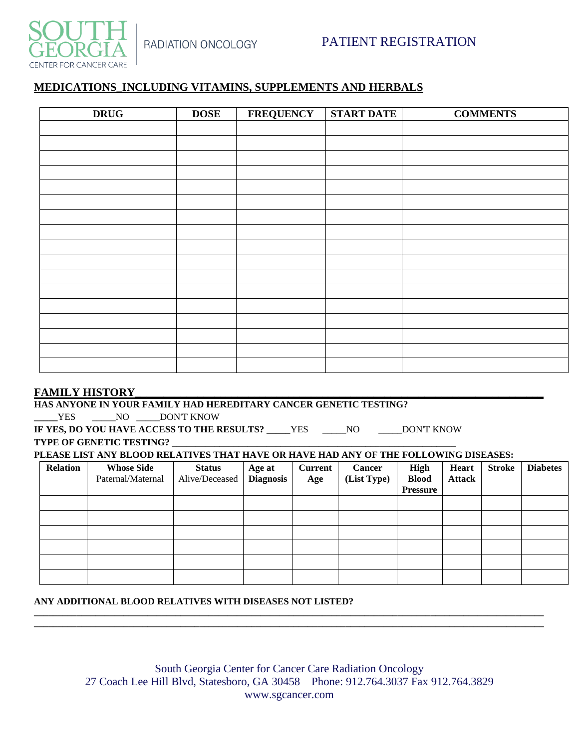



### **MEDICATIONS\_INCLUDING VITAMINS, SUPPLEMENTS AND HERBALS**

| <b>DRUG</b> | <b>DOSE</b> | <b>FREQUENCY</b> | <b>START DATE</b> | <b>COMMENTS</b> |
|-------------|-------------|------------------|-------------------|-----------------|
|             |             |                  |                   |                 |
|             |             |                  |                   |                 |
|             |             |                  |                   |                 |
|             |             |                  |                   |                 |
|             |             |                  |                   |                 |
|             |             |                  |                   |                 |
|             |             |                  |                   |                 |
|             |             |                  |                   |                 |
|             |             |                  |                   |                 |
|             |             |                  |                   |                 |
|             |             |                  |                   |                 |
|             |             |                  |                   |                 |
|             |             |                  |                   |                 |
|             |             |                  |                   |                 |
|             |             |                  |                   |                 |
|             |             |                  |                   |                 |
|             |             |                  |                   |                 |

#### **FAMILY HISTORY\_\_\_\_\_\_\_\_\_\_\_\_\_\_\_\_\_\_\_\_\_\_\_\_\_\_\_\_\_\_\_\_\_\_\_\_\_\_\_\_\_\_\_\_\_\_\_\_\_\_\_\_\_\_\_\_\_\_\_\_\_\_\_\_\_\_\_\_\_\_\_\_**

### **HAS ANYONE IN YOUR FAMILY HAD HEREDITARY CANCER GENETIC TESTING? \_\_\_\_\_**YES \_\_\_\_\_NO \_\_\_\_\_DON'T KNOW

**IF YES, DO YOU HAVE ACCESS TO THE RESULTS? \_\_\_\_\_**YES \_\_\_\_\_NO \_\_\_\_\_DON'T KNOW

**TYPE OF GENETIC TESTING? \_\_\_\_\_\_\_\_\_\_\_\_\_\_\_\_\_\_\_\_\_\_\_\_\_\_\_\_\_\_\_\_\_\_\_\_\_\_\_\_\_\_\_\_\_\_\_\_\_\_\_\_\_\_\_\_\_\_\_\_**

**PLEASE LIST ANY BLOOD RELATIVES THAT HAVE OR HAVE HAD ANY OF THE FOLLOWING DISEASES:**

| <b>Relation</b> | <b>Whose Side</b><br>Paternal/Maternal | <b>Status</b><br>Alive/Deceased | Age at<br><b>Diagnosis</b> | <b>Current</b><br>Age | <b>Cancer</b><br>(List Type) | <b>High</b><br><b>Blood</b> | Heart<br><b>Attack</b> | <b>Stroke</b> | <b>Diabetes</b> |
|-----------------|----------------------------------------|---------------------------------|----------------------------|-----------------------|------------------------------|-----------------------------|------------------------|---------------|-----------------|
|                 |                                        |                                 |                            |                       |                              | <b>Pressure</b>             |                        |               |                 |
|                 |                                        |                                 |                            |                       |                              |                             |                        |               |                 |
|                 |                                        |                                 |                            |                       |                              |                             |                        |               |                 |
|                 |                                        |                                 |                            |                       |                              |                             |                        |               |                 |
|                 |                                        |                                 |                            |                       |                              |                             |                        |               |                 |
|                 |                                        |                                 |                            |                       |                              |                             |                        |               |                 |
|                 |                                        |                                 |                            |                       |                              |                             |                        |               |                 |

### **ANY ADDITIONAL BLOOD RELATIVES WITH DISEASES NOT LISTED?**

**\_\_\_\_\_\_\_\_\_\_\_\_\_\_\_\_\_\_\_\_\_\_\_\_\_\_\_\_\_\_\_\_\_\_\_\_\_\_\_\_\_\_\_\_\_\_\_\_\_\_\_\_\_\_\_\_\_\_\_\_\_\_\_\_\_\_\_\_\_\_\_\_\_\_\_\_\_\_\_\_\_\_\_\_\_\_\_\_\_\_\_\_\_\_\_\_\_\_\_\_\_\_\_\_\_\_\_\_ \_\_\_\_\_\_\_\_\_\_\_\_\_\_\_\_\_\_\_\_\_\_\_\_\_\_\_\_\_\_\_\_\_\_\_\_\_\_\_\_\_\_\_\_\_\_\_\_\_\_\_\_\_\_\_\_\_\_\_\_\_\_\_\_\_\_\_\_\_\_\_\_\_\_\_\_\_\_\_\_\_\_\_\_\_\_\_\_\_\_\_\_\_\_\_\_\_\_\_\_\_\_\_\_\_\_\_\_**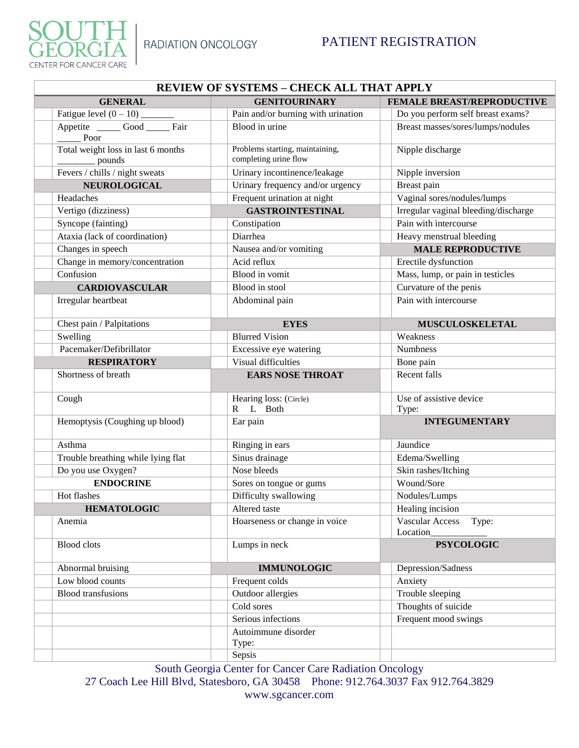

| <b>REVIEW OF SYSTEMS - CHECK ALL THAT APPLY</b> |                                                          |                                      |  |  |  |  |  |
|-------------------------------------------------|----------------------------------------------------------|--------------------------------------|--|--|--|--|--|
| <b>GENERAL</b>                                  | <b>GENITOURINARY</b>                                     | FEMALE BREAST/REPRODUCTIVE           |  |  |  |  |  |
|                                                 | Pain and/or burning with urination                       | Do you perform self breast exams?    |  |  |  |  |  |
| Appetite Good Fair<br>Poor                      | Blood in urine                                           | Breast masses/sores/lumps/nodules    |  |  |  |  |  |
| Total weight loss in last 6 months<br>pounds    | Problems starting, maintaining,<br>completing urine flow | Nipple discharge                     |  |  |  |  |  |
| Fevers / chills / night sweats                  | Urinary incontinence/leakage                             | Nipple inversion                     |  |  |  |  |  |
| NEUROLOGICAL                                    | Urinary frequency and/or urgency                         | Breast pain                          |  |  |  |  |  |
| Headaches                                       | Frequent urination at night                              | Vaginal sores/nodules/lumps          |  |  |  |  |  |
| Vertigo (dizziness)                             | <b>GASTROINTESTINAL</b>                                  | Irregular vaginal bleeding/discharge |  |  |  |  |  |
| Syncope (fainting)                              | Constipation                                             | Pain with intercourse                |  |  |  |  |  |
| Ataxia (lack of coordination)                   | Diarrhea                                                 | Heavy menstrual bleeding             |  |  |  |  |  |
| Changes in speech                               | Nausea and/or vomiting                                   | <b>MALE REPRODUCTIVE</b>             |  |  |  |  |  |
| Change in memory/concentration                  | Acid reflux                                              | Erectile dysfunction                 |  |  |  |  |  |
| Confusion                                       | Blood in vomit                                           | Mass, lump, or pain in testicles     |  |  |  |  |  |
| <b>CARDIOVASCULAR</b>                           | Blood in stool                                           | Curvature of the penis               |  |  |  |  |  |
| Irregular heartbeat                             | Abdominal pain                                           | Pain with intercourse                |  |  |  |  |  |
| Chest pain / Palpitations                       | <b>EYES</b>                                              | MUSCULOSKELETAL                      |  |  |  |  |  |
| Swelling                                        | <b>Blurred Vision</b>                                    | Weakness                             |  |  |  |  |  |
| Pacemaker/Defibrillator                         | Excessive eye watering                                   | <b>Numbness</b>                      |  |  |  |  |  |
| <b>RESPIRATORY</b>                              | Visual difficulties                                      | Bone pain                            |  |  |  |  |  |
| Shortness of breath                             | <b>EARS NOSE THROAT</b>                                  | Recent falls                         |  |  |  |  |  |
| Cough                                           | Hearing loss: (Circle)<br>L Both<br>$\mathbf{R}$         | Use of assistive device<br>Type:     |  |  |  |  |  |
| Hemoptysis (Coughing up blood)                  | Ear pain                                                 | <b>INTEGUMENTARY</b>                 |  |  |  |  |  |
| Asthma                                          | Ringing in ears                                          | Jaundice                             |  |  |  |  |  |
| Trouble breathing while lying flat              | Sinus drainage                                           | Edema/Swelling                       |  |  |  |  |  |
| Do you use Oxygen?                              | Nose bleeds                                              | Skin rashes/Itching                  |  |  |  |  |  |
| <b>ENDOCRINE</b>                                | Sores on tongue or gums                                  | Wound/Sore                           |  |  |  |  |  |
| Hot flashes                                     | Difficulty swallowing                                    | Nodules/Lumps                        |  |  |  |  |  |
| <b>HEMATOLOGIC</b>                              | Altered taste                                            | Healing incision                     |  |  |  |  |  |
| Anemia                                          | Hoarseness or change in voice                            | Vascular Access<br>Type:<br>Location |  |  |  |  |  |
| <b>Blood</b> clots                              | Lumps in neck                                            | <b>PSYCOLOGIC</b>                    |  |  |  |  |  |
| Abnormal bruising                               | <b>IMMUNOLOGIC</b>                                       | Depression/Sadness                   |  |  |  |  |  |
| Low blood counts                                | Frequent colds                                           | Anxiety                              |  |  |  |  |  |
| <b>Blood</b> transfusions                       | Outdoor allergies                                        | Trouble sleeping                     |  |  |  |  |  |
|                                                 | Cold sores                                               | Thoughts of suicide                  |  |  |  |  |  |
|                                                 | Serious infections                                       | Frequent mood swings                 |  |  |  |  |  |
|                                                 | Autoimmune disorder                                      |                                      |  |  |  |  |  |
|                                                 | Type:                                                    |                                      |  |  |  |  |  |
|                                                 | Sepsis                                                   |                                      |  |  |  |  |  |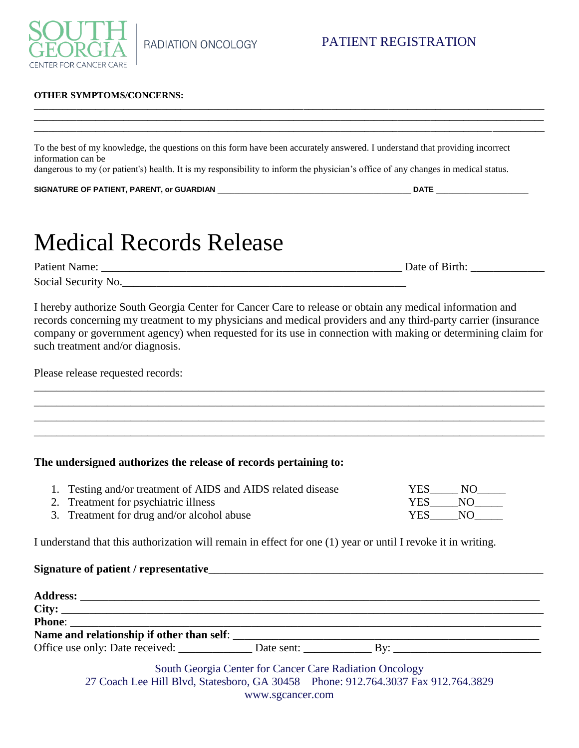

### **OTHER SYMPTOMS/CONCERNS:**

To the best of my knowledge, the questions on this form have been accurately answered. I understand that providing incorrect information can be

**\_\_\_\_\_\_\_\_\_\_\_\_\_\_\_\_\_\_\_\_\_\_\_\_\_\_\_\_\_\_\_\_\_\_\_\_\_\_\_\_\_\_\_\_\_\_\_\_\_\_\_\_\_\_\_\_\_\_\_\_\_\_\_\_\_\_\_\_\_\_\_\_\_\_\_\_\_\_\_\_\_\_\_\_\_\_\_\_\_\_\_\_\_\_\_\_\_\_\_\_\_\_\_\_\_\_\_\_ \_\_\_\_\_\_\_\_\_\_\_\_\_\_\_\_\_\_\_\_\_\_\_\_\_\_\_\_\_\_\_\_\_\_\_\_\_\_\_\_\_\_\_\_\_\_\_\_\_\_\_\_\_\_\_\_\_\_\_\_\_\_\_\_\_\_\_\_\_\_\_\_\_\_\_\_\_\_\_\_\_\_\_\_\_\_\_\_\_\_\_\_\_\_\_\_\_\_\_\_\_\_\_\_\_\_\_\_ \_\_\_\_\_\_\_\_\_\_\_\_\_\_\_\_\_\_\_\_\_\_\_\_\_\_\_\_\_\_\_\_\_\_\_\_\_\_\_\_\_\_\_\_\_\_\_\_\_\_\_\_\_\_\_\_\_\_\_\_\_\_\_\_\_\_\_\_\_\_\_\_\_\_\_\_\_\_\_\_\_\_\_\_\_\_\_\_\_\_\_\_\_\_\_\_\_\_\_\_\_\_\_\_\_\_\_\_**

dangerous to my (or patient's) health. It is my responsibility to inform the physician's office of any changes in medical status.

**SIGNATURE OF PATIENT, PARENT, or GUARDIAN** \_\_\_\_\_\_\_\_\_\_\_\_\_\_\_\_\_\_\_\_\_\_\_\_\_\_\_\_\_\_\_\_\_\_\_\_\_\_\_\_\_\_\_\_\_\_ **DATE** \_\_\_\_\_\_\_\_\_\_\_\_\_\_\_\_\_\_\_\_\_\_

# Medical Records Release

Patient Name: \_\_\_\_\_\_\_\_\_\_\_\_\_\_\_\_\_\_\_\_\_\_\_\_\_\_\_\_\_\_\_\_\_\_\_\_\_\_\_\_\_\_\_\_\_\_\_\_\_\_\_\_\_ Date of Birth: \_\_\_\_\_\_\_\_\_\_\_\_\_ Social Security No.

I hereby authorize South Georgia Center for Cancer Care to release or obtain any medical information and records concerning my treatment to my physicians and medical providers and any third-party carrier (insurance company or government agency) when requested for its use in connection with making or determining claim for such treatment and/or diagnosis.

\_\_\_\_\_\_\_\_\_\_\_\_\_\_\_\_\_\_\_\_\_\_\_\_\_\_\_\_\_\_\_\_\_\_\_\_\_\_\_\_\_\_\_\_\_\_\_\_\_\_\_\_\_\_\_\_\_\_\_\_\_\_\_\_\_\_\_\_\_\_\_\_\_\_\_\_\_\_\_\_\_\_\_\_\_\_\_\_\_\_ \_\_\_\_\_\_\_\_\_\_\_\_\_\_\_\_\_\_\_\_\_\_\_\_\_\_\_\_\_\_\_\_\_\_\_\_\_\_\_\_\_\_\_\_\_\_\_\_\_\_\_\_\_\_\_\_\_\_\_\_\_\_\_\_\_\_\_\_\_\_\_\_\_\_\_\_\_\_\_\_\_\_\_\_\_\_\_\_\_\_ \_\_\_\_\_\_\_\_\_\_\_\_\_\_\_\_\_\_\_\_\_\_\_\_\_\_\_\_\_\_\_\_\_\_\_\_\_\_\_\_\_\_\_\_\_\_\_\_\_\_\_\_\_\_\_\_\_\_\_\_\_\_\_\_\_\_\_\_\_\_\_\_\_\_\_\_\_\_\_\_\_\_\_\_\_\_\_\_\_\_ \_\_\_\_\_\_\_\_\_\_\_\_\_\_\_\_\_\_\_\_\_\_\_\_\_\_\_\_\_\_\_\_\_\_\_\_\_\_\_\_\_\_\_\_\_\_\_\_\_\_\_\_\_\_\_\_\_\_\_\_\_\_\_\_\_\_\_\_\_\_\_\_\_\_\_\_\_\_\_\_\_\_\_\_\_\_\_\_\_\_

Please release requested records:

### **The undersigned authorizes the release of records pertaining to:**

| 1. Testing and/or treatment of AIDS and AIDS related disease | YES. | N() |
|--------------------------------------------------------------|------|-----|
| 2. Treatment for psychiatric illness                         | YES. | NO. |
| 3. Treatment for drug and/or alcohol abuse                   | YES. | N() |

I understand that this authorization will remain in effect for one (1) year or until I revoke it in writing.

Signature of patient / representative **Address:** \_\_\_\_\_\_\_\_\_\_\_\_\_\_\_\_\_\_\_\_\_\_\_\_\_\_\_\_\_\_\_\_\_\_\_\_\_\_\_\_\_\_\_\_\_\_\_\_\_\_\_\_\_\_\_\_\_\_\_\_\_\_\_\_\_\_\_\_\_\_\_\_\_\_\_\_\_\_\_\_\_ **City:** \_\_\_\_\_\_\_\_\_\_\_\_\_\_\_\_\_\_\_\_\_\_\_\_\_\_\_\_\_\_\_\_\_\_\_\_\_\_\_\_\_\_\_\_\_\_\_\_\_\_\_\_\_\_\_\_\_\_\_\_\_\_\_\_\_\_\_\_\_\_\_\_\_\_\_\_\_\_\_\_\_\_\_\_\_ **Phone**: \_\_\_\_\_\_\_\_\_\_\_\_\_\_\_\_\_\_\_\_\_\_\_\_\_\_\_\_\_\_\_\_\_\_\_\_\_\_\_\_\_\_\_\_\_\_\_\_\_\_\_\_\_\_\_\_\_\_\_\_\_\_\_\_\_\_\_\_\_\_\_\_\_\_\_\_\_\_\_\_\_\_\_ Name and relationship if other than self: Office use only: Date received: \_\_\_\_\_\_\_\_\_\_\_\_\_ Date sent: \_\_\_\_\_\_\_\_\_\_\_\_ By: \_\_\_\_\_\_\_\_\_\_\_\_\_\_\_\_\_\_\_\_\_\_\_\_\_\_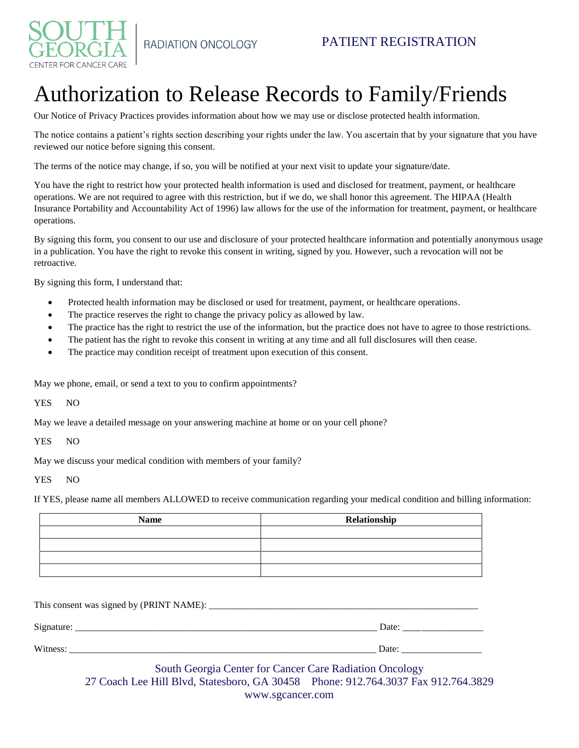

# Authorization to Release Records to Family/Friends

Our Notice of Privacy Practices provides information about how we may use or disclose protected health information.

The notice contains a patient's rights section describing your rights under the law. You ascertain that by your signature that you have reviewed our notice before signing this consent.

The terms of the notice may change, if so, you will be notified at your next visit to update your signature/date.

You have the right to restrict how your protected health information is used and disclosed for treatment, payment, or healthcare operations. We are not required to agree with this restriction, but if we do, we shall honor this agreement. The HIPAA (Health Insurance Portability and Accountability Act of 1996) law allows for the use of the information for treatment, payment, or healthcare operations.

By signing this form, you consent to our use and disclosure of your protected healthcare information and potentially anonymous usage in a publication. You have the right to revoke this consent in writing, signed by you. However, such a revocation will not be retroactive.

By signing this form, I understand that:

- Protected health information may be disclosed or used for treatment, payment, or healthcare operations.
- The practice reserves the right to change the privacy policy as allowed by law.
- The practice has the right to restrict the use of the information, but the practice does not have to agree to those restrictions.
- The patient has the right to revoke this consent in writing at any time and all full disclosures will then cease.
- The practice may condition receipt of treatment upon execution of this consent.

May we phone, email, or send a text to you to confirm appointments?

YES NO

May we leave a detailed message on your answering machine at home or on your cell phone?

YES NO

May we discuss your medical condition with members of your family?

YES NO

If YES, please name all members ALLOWED to receive communication regarding your medical condition and billing information:

| <b>Name</b> | Relationship |
|-------------|--------------|
|             |              |
|             |              |
|             |              |
|             |              |

This consent was signed by (PRINT NAME): \_\_\_\_\_\_\_\_\_\_\_\_\_\_\_\_\_\_\_\_\_\_\_\_\_\_\_\_\_\_\_\_\_\_\_\_\_\_\_\_\_\_\_\_\_\_\_\_\_\_\_\_\_\_\_\_\_ Signature: \_\_\_\_\_\_\_\_\_\_\_\_\_\_\_\_\_\_\_\_\_\_\_\_\_\_\_\_\_\_\_\_\_\_\_\_\_\_\_\_\_\_\_\_\_\_\_\_\_\_\_\_\_\_\_\_\_\_\_\_\_\_\_\_ Date: \_\_\_\_\_\_\_\_\_\_\_\_\_\_\_\_\_ Witness: \_\_\_\_\_\_\_\_\_\_\_\_\_\_\_\_\_\_\_\_\_\_\_\_\_\_\_\_\_\_\_\_\_\_\_\_\_\_\_\_\_\_\_\_\_\_\_\_\_\_\_\_\_\_\_\_\_\_\_\_\_\_\_\_\_ Date: \_\_\_\_\_\_\_\_\_\_\_\_\_\_\_\_\_

## South Georgia Center for Cancer Care Radiation Oncology

27 Coach Lee Hill Blvd, Statesboro, GA 30458 Phone: 912.764.3037 Fax 912.764.3829 www.sgcancer.com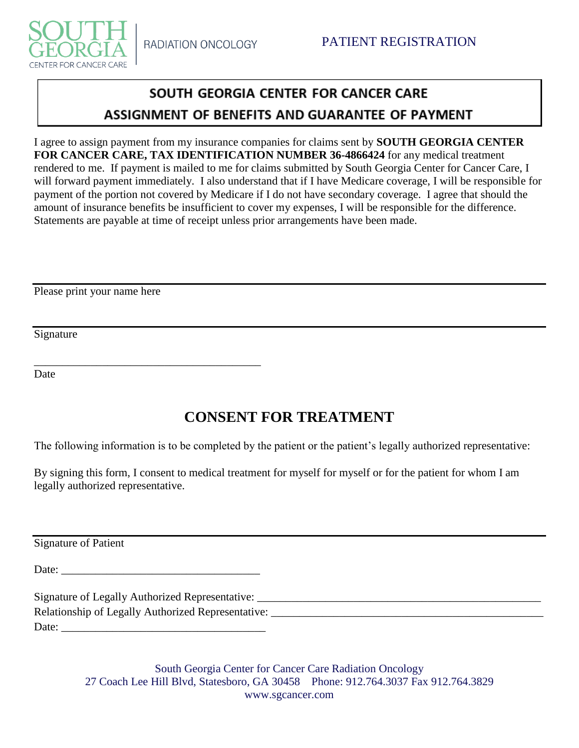

# SOUTH GEORGIA CENTER FOR CANCER CARE ASSIGNMENT OF BENEFITS AND GUARANTEE OF PAYMENT

I agree to assign payment from my insurance companies for claims sent by **SOUTH GEORGIA CENTER FOR CANCER CARE, TAX IDENTIFICATION NUMBER 36-4866424** for any medical treatment rendered to me. If payment is mailed to me for claims submitted by South Georgia Center for Cancer Care, I will forward payment immediately. I also understand that if I have Medicare coverage, I will be responsible for payment of the portion not covered by Medicare if I do not have secondary coverage. I agree that should the amount of insurance benefits be insufficient to cover my expenses, I will be responsible for the difference. Statements are payable at time of receipt unless prior arrangements have been made.

Please print your name here

Signature

Date

# **CONSENT FOR TREATMENT**

The following information is to be completed by the patient or the patient's legally authorized representative:

By signing this form, I consent to medical treatment for myself for myself or for the patient for whom I am legally authorized representative.

Signature of Patient

Date:

\_\_\_\_\_\_\_\_\_\_\_\_\_\_\_\_\_\_\_\_\_\_\_\_\_\_\_\_\_\_\_\_\_\_\_\_\_\_\_\_

Signature of Legally Authorized Representative: \_\_\_\_\_\_\_\_\_\_\_\_\_\_\_\_\_\_\_\_\_\_\_\_\_\_\_\_\_\_\_\_\_\_\_\_\_\_\_\_\_\_\_\_\_\_\_\_\_\_ Relationship of Legally Authorized Representative: \_\_\_\_\_\_\_\_\_\_\_\_\_\_\_\_\_\_\_\_\_\_\_\_\_\_\_\_\_\_\_\_\_\_\_\_\_\_\_\_\_\_\_\_\_\_\_\_ Date: \_\_\_\_\_\_\_\_\_\_\_\_\_\_\_\_\_\_\_\_\_\_\_\_\_\_\_\_\_\_\_\_\_\_\_\_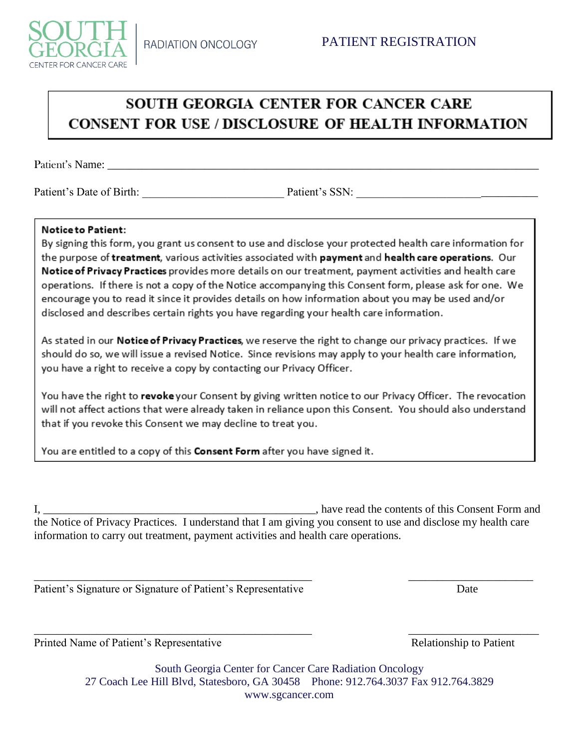

# SOUTH GEORGIA CENTER FOR CANCER CARE **CONSENT FOR USE / DISCLOSURE OF HEALTH INFORMATION**

Patient's Name:

Patient's Date of Birth: The Patient's SSN: The Contract of Birth: The Patient's SSN:

### **Notice to Patient:**

By signing this form, you grant us consent to use and disclose your protected health care information for the purpose of treatment, various activities associated with payment and health care operations. Our Notice of Privacy Practices provides more details on our treatment, payment activities and health care operations. If there is not a copy of the Notice accompanying this Consent form, please ask for one. We encourage you to read it since it provides details on how information about you may be used and/or disclosed and describes certain rights you have regarding your health care information.

As stated in our Notice of Privacy Practices, we reserve the right to change our privacy practices. If we should do so, we will issue a revised Notice. Since revisions may apply to your health care information, you have a right to receive a copy by contacting our Privacy Officer.

You have the right to revoke your Consent by giving written notice to our Privacy Officer. The revocation will not affect actions that were already taken in reliance upon this Consent. You should also understand that if you revoke this Consent we may decline to treat you.

You are entitled to a copy of this Consent Form after you have signed it.

I, **I** have read the contents of this Consent Form and the Notice of Privacy Practices. I understand that I am giving you consent to use and disclose my health care information to carry out treatment, payment activities and health care operations.

\_\_\_\_\_\_\_\_\_\_\_\_\_\_\_\_\_\_\_\_\_\_\_\_\_\_\_\_\_\_\_\_\_\_\_\_\_\_\_\_\_\_\_\_\_\_\_\_\_ \_\_\_\_\_\_\_\_\_\_\_\_\_\_\_\_\_\_\_\_\_\_

\_\_\_\_\_\_\_\_\_\_\_\_\_\_\_\_\_\_\_\_\_\_\_\_\_\_\_\_\_\_\_\_\_\_\_\_\_\_\_\_\_\_\_\_\_\_\_\_\_ \_\_\_\_\_\_\_\_\_\_\_\_\_\_\_\_\_\_\_\_\_\_\_

Patient's Signature or Signature of Patient's Representative Date

Printed Name of Patient's Representative Relationship to Patient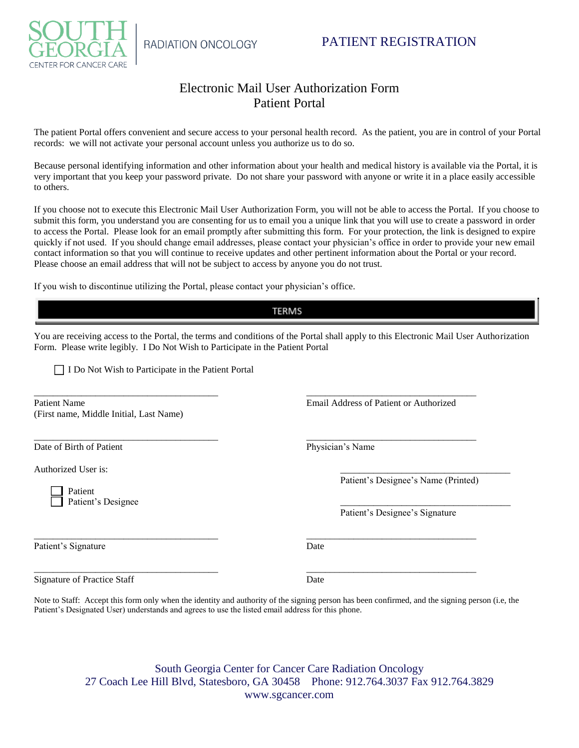



## Electronic Mail User Authorization Form Patient Portal

The patient Portal offers convenient and secure access to your personal health record. As the patient, you are in control of your Portal records: we will not activate your personal account unless you authorize us to do so.

Because personal identifying information and other information about your health and medical history is available via the Portal, it is very important that you keep your password private. Do not share your password with anyone or write it in a place easily accessible to others.

If you choose not to execute this Electronic Mail User Authorization Form, you will not be able to access the Portal. If you choose to submit this form, you understand you are consenting for us to email you a unique link that you will use to create a password in order to access the Portal. Please look for an email promptly after submitting this form. For your protection, the link is designed to expire quickly if not used. If you should change email addresses, please contact your physician's office in order to provide your new email contact information so that you will continue to receive updates and other pertinent information about the Portal or your record. Please choose an email address that will not be subject to access by anyone you do not trust.

If you wish to discontinue utilizing the Portal, please contact your physician's office.

### **TERMS**

You are receiving access to the Portal, the terms and conditions of the Portal shall apply to this Electronic Mail User Authorization Form. Please write legibly. I Do Not Wish to Participate in the Patient Portal

\_\_\_\_\_\_\_\_\_\_\_\_\_\_\_\_\_\_\_\_\_\_\_\_\_\_\_\_\_\_\_\_\_\_\_\_\_\_\_ \_\_\_\_\_\_\_\_\_\_\_\_\_\_\_\_\_\_\_\_\_\_\_\_\_\_\_\_\_\_\_\_\_\_\_\_

\_\_\_\_\_\_\_\_\_\_\_\_\_\_\_\_\_\_\_\_\_\_\_\_\_\_\_\_\_\_\_\_\_\_\_\_\_\_\_ \_\_\_\_\_\_\_\_\_\_\_\_\_\_\_\_\_\_\_\_\_\_\_\_\_\_\_\_\_\_\_\_\_\_\_\_

\_\_\_\_\_\_\_\_\_\_\_\_\_\_\_\_\_\_\_\_\_\_\_\_\_\_\_\_\_\_\_\_\_\_\_\_\_\_\_ \_\_\_\_\_\_\_\_\_\_\_\_\_\_\_\_\_\_\_\_\_\_\_\_\_\_\_\_\_\_\_\_\_\_\_\_

I Do Not Wish to Participate in the Patient Portal

Patient Name Email Address of Patient or Authorized (First name, Middle Initial, Last Name)

Date of Birth of Patient Physician's Name

Authorized User is:

Patient Patient's Designee

Patient's Signature Date

Patient's Designee's Name (Printed)

Patient's Designee's Signature

Signature of Practice Staff Date

\_\_\_\_\_\_\_\_\_\_\_\_\_\_\_\_\_\_\_\_\_\_\_\_\_\_\_\_\_\_\_\_\_\_\_\_\_\_\_ \_\_\_\_\_\_\_\_\_\_\_\_\_\_\_\_\_\_\_\_\_\_\_\_\_\_\_\_\_\_\_\_\_\_\_\_

Note to Staff: Accept this form only when the identity and authority of the signing person has been confirmed, and the signing person (i.e, the Patient's Designated User) understands and agrees to use the listed email address for this phone.